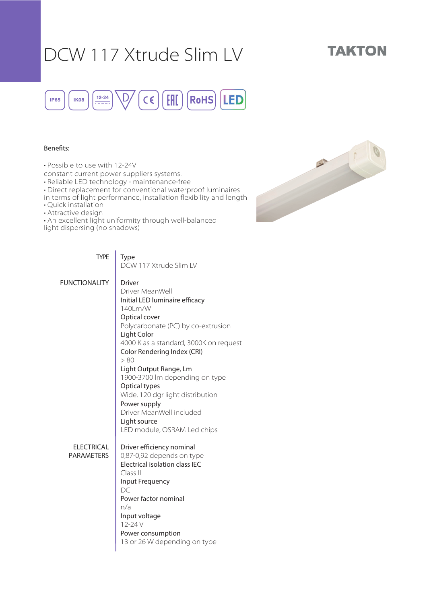## DCW 117 Xtrude Slim LV

## **TAKTON**



### Benefits:

• Possible to use with 12-24V

constant current power suppliers systems.

• Reliable LED technology - maintenance-free

• Direct replacement for conventional waterproof luminaires

in terms of light performance, installation flexibility and length

• Quick installation

• Attractive design

• An excellent light uniformity through well-balanced light dispersing (no shadows)



| <b>TYPE</b>                            | Type<br>DCW 117 Xtrude Slim LV                                                                                                                                                                                                                                                                                                                                                                                                                   |
|----------------------------------------|--------------------------------------------------------------------------------------------------------------------------------------------------------------------------------------------------------------------------------------------------------------------------------------------------------------------------------------------------------------------------------------------------------------------------------------------------|
| <b>FUNCTIONALITY</b>                   | <b>Driver</b><br>Driver MeanWell<br>Initial LED luminaire efficacy<br>140Lm/W<br>Optical cover<br>Polycarbonate (PC) by co-extrusion<br>Light Color<br>4000 K as a standard, 3000K on request<br>Color Rendering Index (CRI)<br>> 80<br>Light Output Range, Lm<br>1900-3700 lm depending on type<br>Optical types<br>Wide. 120 dgr light distribution<br>Power supply<br>Driver MeanWell included<br>Light source<br>LED module, OSRAM Led chips |
| <b>ELECTRICAL</b><br><b>PARAMETERS</b> | Driver efficiency nominal<br>0,87-0,92 depends on type<br>Electrical isolation class IEC<br>Class II<br>Input Frequency<br>DC<br>Power factor nominal<br>n/a<br>Input voltage<br>12-24 V<br>Power consumption<br>13 or 26 W depending on type                                                                                                                                                                                                    |